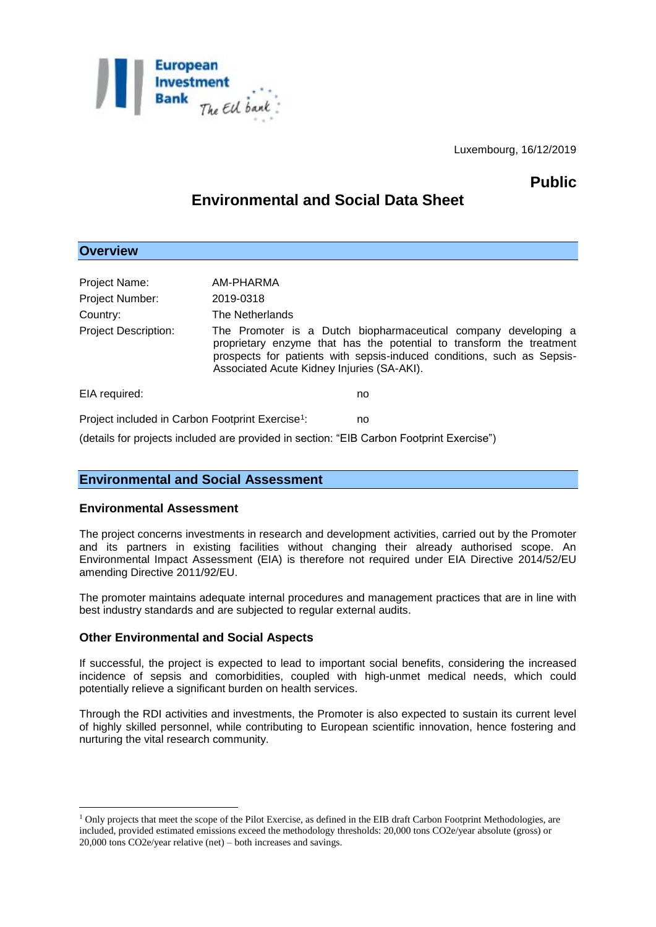

Luxembourg, 16/12/2019

# **Public**

# **Environmental and Social Data Sheet**

## **Overview**

| Project Name:                                                | AM-PHARMA                                                                                                                                                                                                                                                      |                                                                                          |
|--------------------------------------------------------------|----------------------------------------------------------------------------------------------------------------------------------------------------------------------------------------------------------------------------------------------------------------|------------------------------------------------------------------------------------------|
| <b>Project Number:</b>                                       | 2019-0318                                                                                                                                                                                                                                                      |                                                                                          |
| Country:                                                     | The Netherlands                                                                                                                                                                                                                                                |                                                                                          |
| <b>Project Description:</b>                                  | The Promoter is a Dutch biopharmaceutical company developing a<br>proprietary enzyme that has the potential to transform the treatment<br>prospects for patients with sepsis-induced conditions, such as Sepsis-<br>Associated Acute Kidney Injuries (SA-AKI). |                                                                                          |
| EIA required:                                                |                                                                                                                                                                                                                                                                | no                                                                                       |
| Project included in Carbon Footprint Exercise <sup>1</sup> : |                                                                                                                                                                                                                                                                | no                                                                                       |
|                                                              |                                                                                                                                                                                                                                                                | (details for projects included are provided in section: "EIB Carbon Footprint Exercise") |

# **Environmental and Social Assessment**

### **Environmental Assessment**

1

The project concerns investments in research and development activities, carried out by the Promoter and its partners in existing facilities without changing their already authorised scope. An Environmental Impact Assessment (EIA) is therefore not required under EIA Directive 2014/52/EU amending Directive 2011/92/EU.

The promoter maintains adequate internal procedures and management practices that are in line with best industry standards and are subjected to regular external audits.

### **Other Environmental and Social Aspects**

If successful, the project is expected to lead to important social benefits, considering the increased incidence of sepsis and comorbidities, coupled with high-unmet medical needs, which could potentially relieve a significant burden on health services.

Through the RDI activities and investments, the Promoter is also expected to sustain its current level of highly skilled personnel, while contributing to European scientific innovation, hence fostering and nurturing the vital research community.

<sup>&</sup>lt;sup>1</sup> Only projects that meet the scope of the Pilot Exercise, as defined in the EIB draft Carbon Footprint Methodologies, are included, provided estimated emissions exceed the methodology thresholds: 20,000 tons CO2e/year absolute (gross) or 20,000 tons CO2e/year relative (net) – both increases and savings.